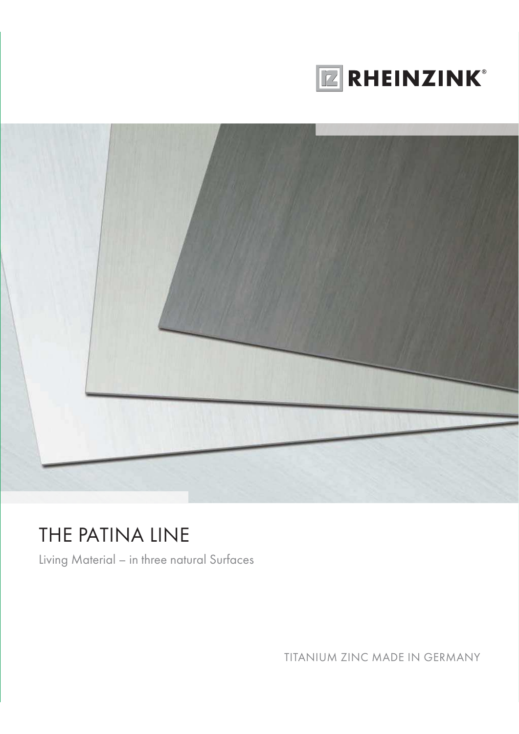



# THE PATINA LINE

Living Material – in three natural Surfaces

TITANIUM ZINC MADE IN GERMANY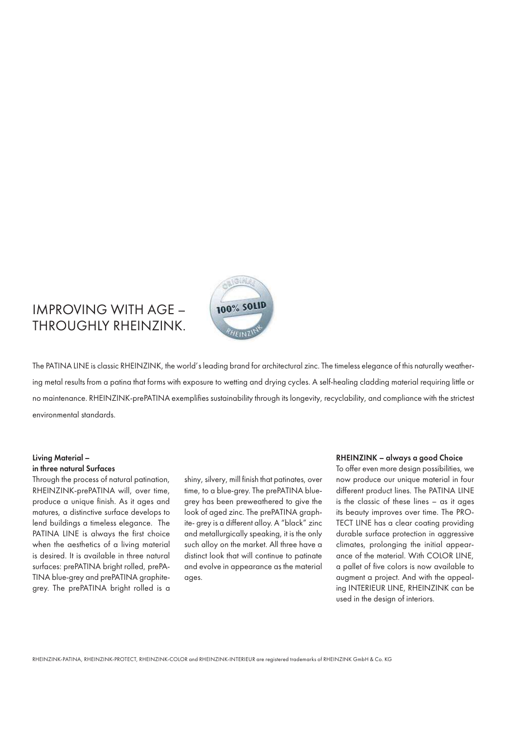# IMPROVING WITH AGE – THROUGHLY RHEINZINK.



The PATINA LINE is classic RHEINZINK, the world's leading brand for architectural zinc. The timeless elegance of this naturally weathering metal results from a patina that forms with exposure to wetting and drying cycles. A self-healing cladding material requiring little or no maintenance. RHEINZINK-prePATINA exemplifies sustainability through its longevity, recyclability, and compliance with the strictest environmental standards.

### Living Material – in three natural Surfaces

Through the process of natural patination, RHEINZINK-prePATINA will, over time, produce a unique finish. As it ages and matures, a distinctive surface develops to lend buildings a timeless elegance. The PATINA LINE is always the first choice when the aesthetics of a living material is desired. It is available in three natural surfaces: prePATINA bright rolled, prePA-TINA blue-grey and prePATINA graphitegrey. The prePATINA bright rolled is a shiny, silvery, mill finish that patinates, over time, to a blue-grey. The prePATINA bluegrey has been preweathered to give the look of aged zinc. The prePATINA graphite- grey is a different alloy. A "black" zinc and metallurgically speaking, it is the only such alloy on the market. All three have a distinct look that will continue to patinate and evolve in appearance as the material ages.

#### RHEINZINK – always a good Choice

To offer even more design possibilities, we now produce our unique material in four different product lines. The PATINA LINE is the classic of these lines – as it ages its beauty improves over time. The PRO-TECT LINE has a clear coating providing durable surface protection in aggressive climates, prolonging the initial appearance of the material. With COLOR LINE, a pallet of five colors is now available to augment a project. And with the appealing INTERIEUR LINE, RHEINZINK can be used in the design of interiors.

RHEINZINK-PATINA, RHEINZINK-PROTECT, RHEINZINK-COLOR and RHEINZINK-INTERIEUR are registered trademarks of RHEINZINK GmbH & Co. KG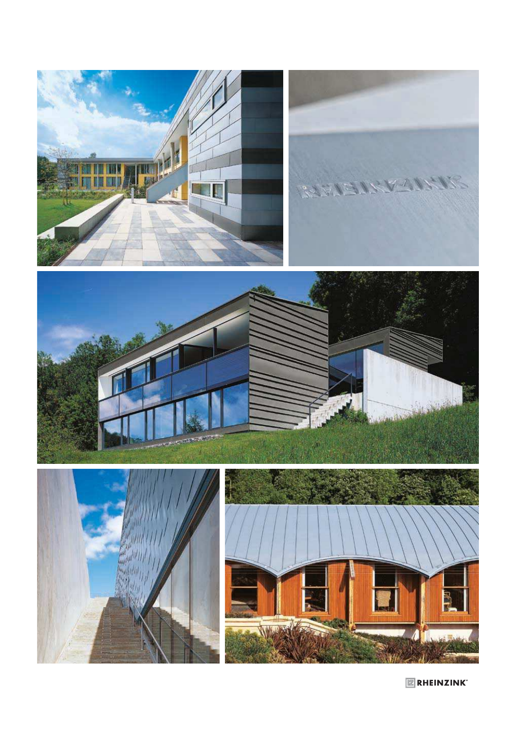$\boxed{\mathbb{Z}}$  RHEINZINK®

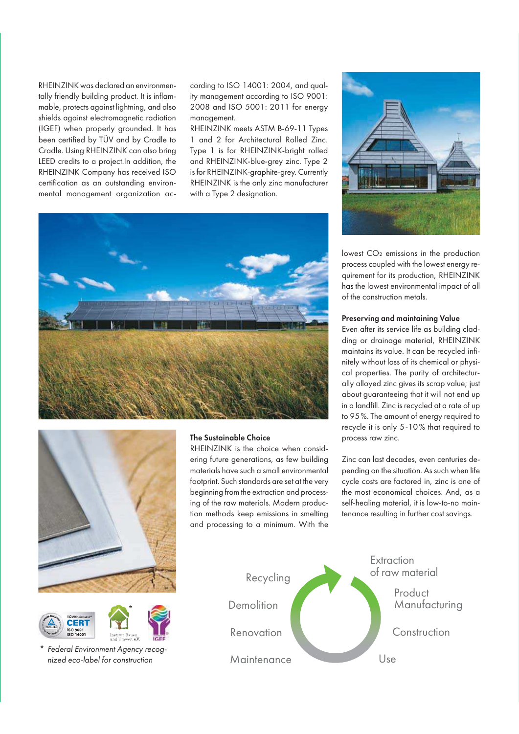RHEINZINK was declared an environmentally friendly building product. It is inflammable, protects against lightning, and also shields against electromagnetic radiation (IGEF) when properly grounded. It has been certified by TÜV and by Cradle to Cradle. Using RHEINZINK can also bring LEED credits to a project.In addition, the RHEINZINK Company has received ISO certification as an outstanding environmental management organization according to ISO 14001: 2004, and quality management according to ISO 9001: 2008 and ISO 5001: 2011 for energy management.

RHEINZINK meets ASTM B-69-11 Types 1 and 2 for Architectural Rolled Zinc. Type 1 is for RHEINZINK-bright rolled and RHEINZINK-blue-grey zinc. Type 2 is for RHEINZINK-graphite-grey. Currently RHEINZINK is the only zinc manufacturer with a Type 2 designation.







Federal Environment Agency recognized eco-label for construction

## The Sustainable Choice

RHEINZINK is the choice when considering future generations, as few building materials have such a small environmental footprint. Such standards are set at the very beginning from the extraction and processing of the raw materials. Modern production methods keep emissions in smelting and processing to a minimum. With the



lowest CO<sub>2</sub> emissions in the production process coupled with the lowest energy requirement for its production, RHEINZINK has the lowest environmental impact of all of the construction metals.

#### Preserving and maintaining Value

Even after its service life as building cladding or drainage material, RHEINZINK maintains its value. It can be recycled infinitely without loss of its chemical or physical properties. The purity of architecturally alloyed zinc gives its scrap value; just about guaranteeing that it will not end up in a landfill. Zinc is recycled at a rate of up to 95 %. The amount of energy required to recycle it is only 5 -10 % that required to process raw zinc.

Zinc can last decades, even centuries depending on the situation. As such when life cycle costs are factored in, zinc is one of the most economical choices. And, as a self-healing material, it is low-to-no maintenance resulting in further cost savings.